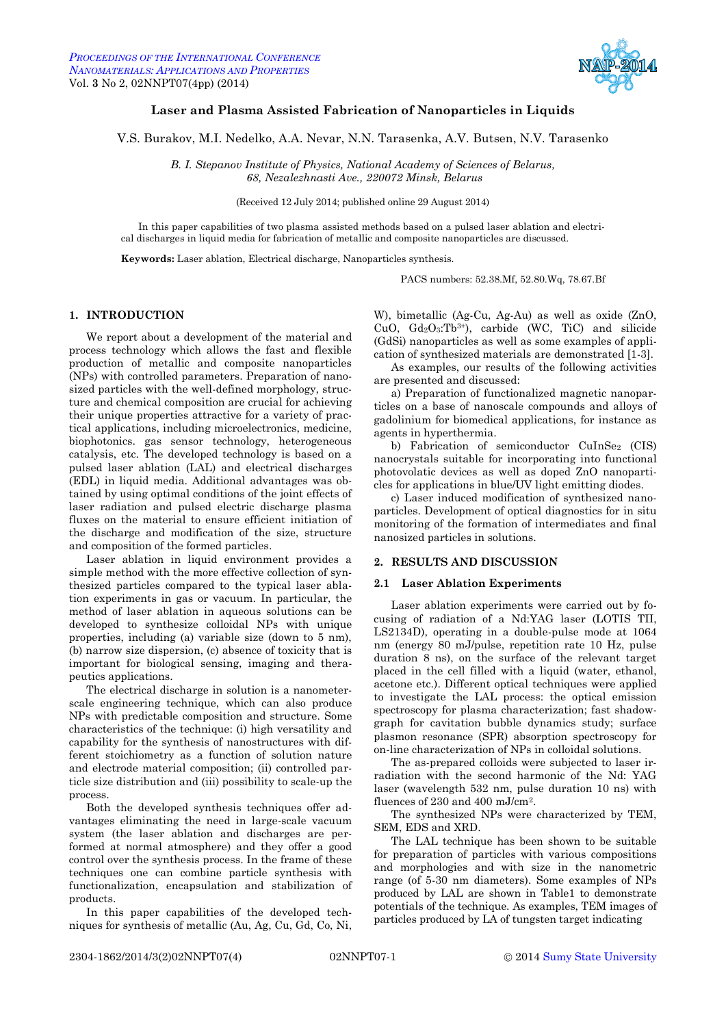

# <span id="page-0-3"></span><span id="page-0-2"></span><span id="page-0-0"></span>**Laser and Plasma Assisted Fabrication of Nanoparticles in Liquids**

<span id="page-0-1"></span>V.S. Burakov, M.I. Nedelko, A.A. Nevar, N.N. Tarasenka, A.V. Butsen, N.V. Tarasenko

*B. I. Stepanov Institute of Physics, National Academy of Sciences of Belarus, 68, Nezalezhnasti Ave., 220072 Minsk, Belarus*

(Received 12 July 2014; published online 29 August 2014)

In this paper capabilities of two plasma assisted methods based on a pulsed laser ablation and electrical discharges in liquid media for fabrication of metallic and composite nanoparticles are discussed.

**Keywords:** Laser ablation, Electrical discharge, Nanoparticles synthesis.

PACS numbers: 52.38.Mf, 52.80.Wq, 78.67.Bf

# **1. INTRODUCTION**

We report about a development of the material and process technology which allows the fast and flexible production of metallic and composite nanoparticles (NPs) with controlled parameters. Preparation of nanosized particles with the well-defined morphology, structure and chemical composition are crucial for achieving their unique properties attractive for a variety of practical applications, including microelectronics, medicine, biophotonics. gas sensor technology, heterogeneous catalysis, etc. The developed technology is based on a pulsed laser ablation (LAL) and electrical discharges (EDL) in liquid media. Additional advantages was obtained by using optimal conditions of the joint effects of laser radiation and pulsed electric discharge plasma fluxes on the material to ensure efficient initiation of the discharge and modification of the size, structure and composition of the formed particles.

Laser ablation in liquid environment provides a simple method with the more effective collection of synthesized particles compared to the typical laser ablation experiments in gas or vacuum. In particular, the method of laser ablation in aqueous solutions can be developed to synthesize colloidal NPs with unique properties, including (a) variable size (down to 5 nm), (b) narrow size dispersion, (c) absence of toxicity that is important for biological sensing, imaging and therapeutics applications.

The electrical discharge in solution is a nanometerscale engineering technique, which can also produce NPs with predictable composition and structure. Some characteristics of the technique: (i) high versatility and capability for the synthesis of nanostructures with different stoichiometry as a function of solution nature and electrode material composition; (ii) controlled particle size distribution and (iii) possibility to scale-up the process.

Both the developed synthesis techniques offer advantages eliminating the need in large-scale vacuum system (the laser ablation and discharges are performed at normal atmosphere) and they offer a good control over the synthesis process. In the frame of these techniques one can combine particle synthesis with functionalization, encapsulation and stabilization of products.

In this paper capabilities of the developed techniques for synthesis of metallic (Au, Ag, Cu, Gd, Co, Ni,

W), bimetallic (Ag-Cu, Ag-Au) as well as oxide (ZnO, CuO,  $Gd_2O_3$ :Tb<sup>3+</sup>), carbide (WC, TiC) and silicide (GdSi) nanoparticles as well as some examples of application of synthesized materials are demonstrated [1-3].

As examples, our results of the following activities are presented and discussed:

a) Preparation of functionalized magnetic nanoparticles on a base of nanoscale compounds and alloys of gadolinium for biomedical applications, for instance as agents in hyperthermia.

b) Fabrication of semiconductor CuInSe<sup>2</sup> (CIS) nanocrystals suitable for incorporating into functional photovolatic devices as well as doped ZnO nanoparticles for applications in blue/UV light emitting diodes.

c) Laser induced modification of synthesized nanoparticles. Development of optical diagnostics for in situ monitoring of the formation of intermediates and final nanosized particles in solutions.

## **2. RESULTS AND DISCUSSION**

#### **2.1 Laser Ablation Experiments**

Laser ablation experiments were carried out by focusing of radiation of a Nd:YAG laser (LOTIS TII, LS2134D), operating in a double-pulse mode at 1064 nm (energy 80 mJ/pulse, repetition rate 10 Hz, pulse duration 8 ns), on the surface of the relevant target placed in the cell filled with a liquid (water, ethanol, acetone etc.). Different optical techniques were applied to investigate the LAL process: the optical emission spectroscopy for plasma characterization; fast shadowgraph for cavitation bubble dynamics study; surface plasmon resonance (SPR) absorption spectroscopy for on-line characterization of NPs in colloidal solutions.

The as-prepared colloids were subjected to laser irradiation with the second harmonic of the Nd: YAG laser (wavelength 532 nm, pulse duration 10 ns) with fluences of 230 and 400 mJ/cm<sup>2</sup>.

The synthesized NPs were characterized by TEM, SEM, EDS and XRD.

The LAL technique has been shown to be suitable for preparation of particles with various compositions and morphologies and with size in the nanometric range (of 5-30 nm diameters). Some examples of NPs produced by LAL are shown in Table1 to demonstrate potentials of the technique. As examples, TEM images of particles produced by LA of tungsten target indicating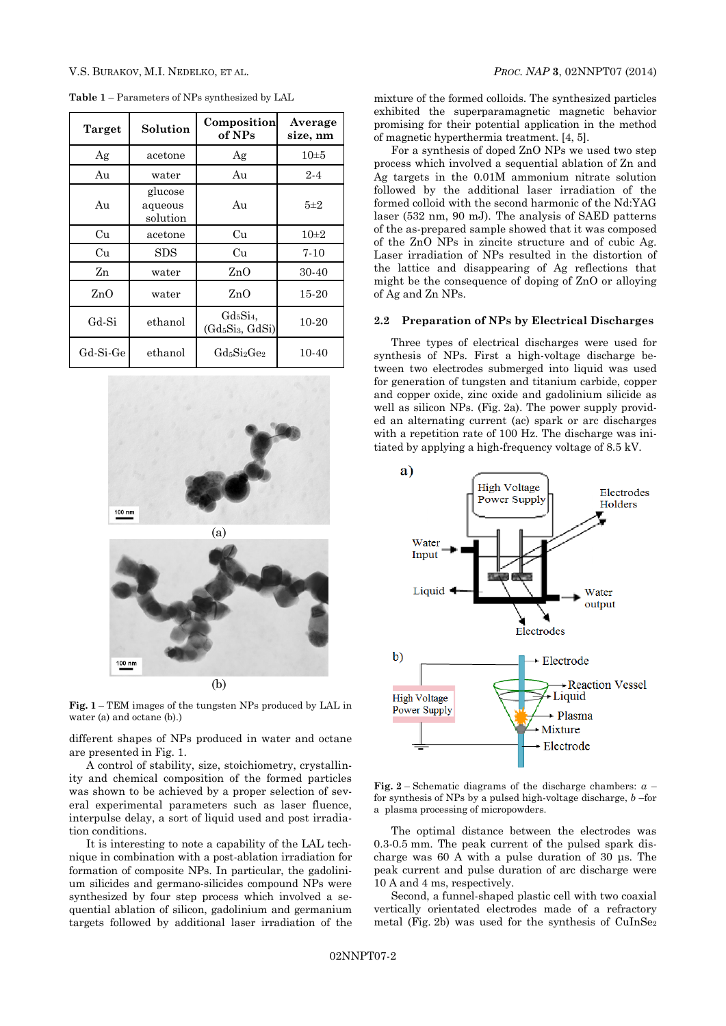| Target   | Solution                       | Composition<br>of NPs                                  | Average<br>size, nm |
|----------|--------------------------------|--------------------------------------------------------|---------------------|
| Ag       | acetone                        | Ag                                                     | $10\pm5$            |
| Au       | water                          | Au                                                     | $2 - 4$             |
| Au       | glucose<br>aqueous<br>solution | Au                                                     | $5\pm2$             |
| Cu       | acetone                        | Cu                                                     | $10\pm 2$           |
| Cu       | <b>SDS</b>                     | Cu                                                     | $7 - 10$            |
| Zn       | water                          | ZnO                                                    | 30-40               |
| ZnO      | water                          | ZnO                                                    | 15-20               |
| Gd-Si    | ethanol                        | $Gd_5Si_4$<br>(Gd <sub>5</sub> Si <sub>3</sub> , GdSi) | 10-20               |
| Gd-Si-Ge | ethanol                        | GdsSi <sub>2</sub> Ge <sub>2</sub>                     | 10-40               |

**Table 1** – Parameters of NPs synthesized by LAL



**Fig. 1** – TEM images of the tungsten NPs produced by LAL in water (a) and octane (b).)

different shapes of NPs produced in water and octane are presented in Fig. 1.

A control of stability, size, stoichiometry, crystallinity and chemical composition of the formed particles was shown to be achieved by a proper selection of several experimental parameters such as laser fluence, interpulse delay, a sort of liquid used and post irradiation conditions.

It is interesting to note a capability of the LAL technique in combination with a post-ablation irradiation for formation of composite NPs. In particular, the gadolinium silicides and germano-silicides compound NPs were synthesized by four step process which involved a sequential ablation of silicon, gadolinium and germanium targets followed by additional laser irradiation of the

mixture of the formed colloids. The synthesized particles exhibited the superparamagnetic magnetic behavior promising for their potential application in the method of magnetic hyperthermia treatment. [4, 5].

For a synthesis of doped ZnO NPs we used two step process which involved a sequential ablation of Zn and Ag targets in the 0.01M ammonium nitrate solution followed by the additional laser irradiation of the formed colloid with the second harmonic of the Nd:YAG laser (532 nm, 90 mJ). The analysis of SAED patterns of the as-prepared sample showed that it was composed of the ZnO NPs in zincite structure and of cubic Ag. Laser irradiation of NPs resulted in the distortion of the lattice and disappearing of Ag reflections that might be the consequence of doping of ZnO or alloying of Ag and Zn NPs.

#### **2.2 Preparation of NPs by Electrical Discharges**

Three types of electrical discharges were used for synthesis of NPs. First a high-voltage discharge between two electrodes submerged into liquid was used for generation of tungsten and titanium carbide, copper and copper oxide, zinc oxide and gadolinium silicide as well as silicon NPs. (Fig. 2a). The power supply provided an alternating current (ac) spark or arc discharges with a repetition rate of 100 Hz. The discharge was initiated by applying a high-frequency voltage of 8.5 kV.



**Fig. 2** – Schematic diagrams of the discharge chambers: *а* – for synthesis of NPs by a pulsed high-voltage discharge, *b* –for a plasma processing of micropowders.

The optimal distance between the electrodes was 0.3-0.5 mm. The peak current of the pulsed spark discharge was 60 A with a pulse duration of 30 μs. The peak current and pulse duration of arc discharge were 10 A and 4 ms, respectively.

Second, a funnel-shaped plastic cell with two coaxial vertically orientated electrodes made of a refractory metal (Fig. 2b) was used for the synthesis of CuInSe<sup>2</sup>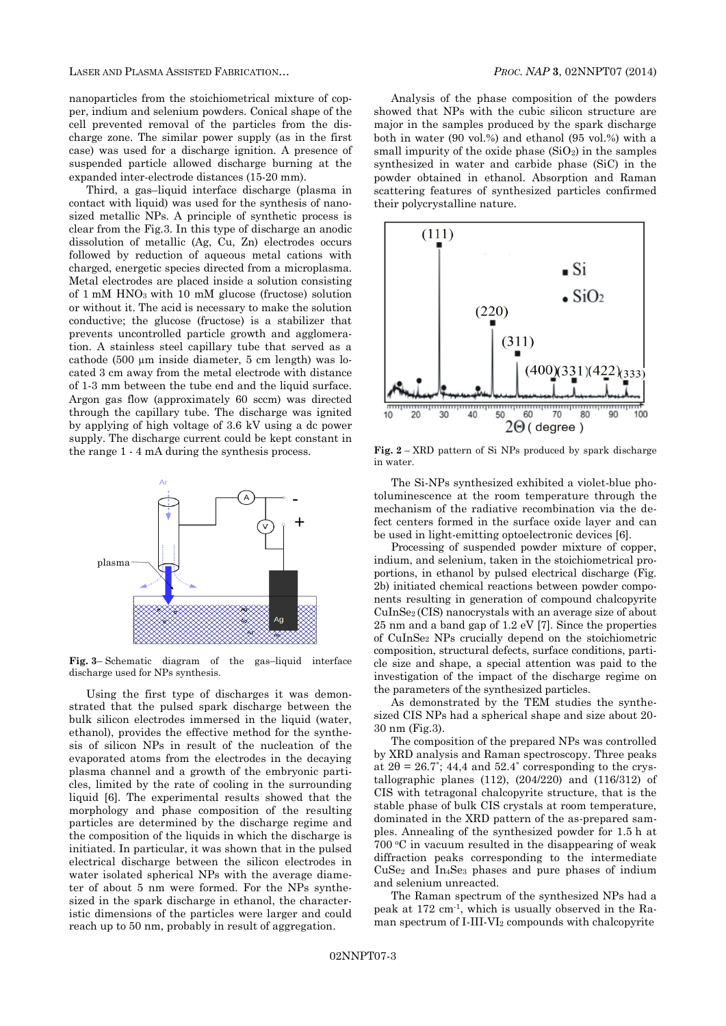LASER AND PLASMA ASSISTED FABRICATION… *PROC. NAP* **[3](#page-0-0)**, [02NNPT07](#page-0-0) [\(2014\)](#page-0-0)

nanoparticles from the stoichiometrical mixture of copper, indium and selenium powders. Conical shape of the cell prevented removal of the particles from the discharge zone. The similar power supply (as in the first case) was used for a discharge ignition. A presence of suspended particle allowed discharge burning at the expanded inter-electrode distances (15-20 mm).

Third, a gas–liquid interface discharge (plasma in contact with liquid) was used for the synthesis of nanosized metallic NPs. A principle of synthetic process is clear from the Fig.3. In this type of discharge an anodic dissolution of metallic (Ag, Cu, Zn) electrodes occurs followed by reduction of aqueous metal cations with charged, energetic species directed from a microplasma. Metal electrodes are placed inside a solution consisting of 1 mM HNO3 with 10 mM glucose (fructose) solution or without it. The acid is necessary to make the solution conductive; the glucose (fructose) is a stabilizer that prevents uncontrolled particle growth and agglomeration. A stainless steel capillary tube that served as a cathode (500 µm inside diameter, 5 cm length) was located 3 cm away from the metal electrode with distance of 1-3 mm between the tube end and the liquid surface. Argon gas flow (approximately 60 sccm) was directed through the capillary tube. The discharge was ignited by applying of high voltage of 3.6 kV using a dc power supply. The discharge current could be kept constant in the range 1 - 4 mA during the synthesis process.



**Fig. 3**– Schematic diagram of the gas–liquid interface discharge used for NPs synthesis.

Using the first type of discharges it was demonstrated that the pulsed spark discharge between the bulk silicon electrodes immersed in the liquid (water, ethanol), provides the effective method for the synthesis of silicon NPs in result of the nucleation of the evaporated atoms from the electrodes in the decaying plasma channel and a growth of the embryonic particles, limited by the rate of cooling in the surrounding liquid [6]. The experimental results showed that the morphology and phase composition of the resulting particles are determined by the discharge regime and the composition of the liquids in which the discharge is initiated. In particular, it was shown that in the pulsed electrical discharge between the silicon electrodes in water isolated spherical NPs with the average diameter of about 5 nm were formed. For the NPs synthesized in the spark discharge in ethanol, the characteristic dimensions of the particles were larger and could reach up to 50 nm, probably in result of aggregation.

Analysis of the phase composition of the powders showed that NPs with the cubic silicon structure are major in the samples produced by the spark discharge both in water (90 vol.%) and ethanol (95 vol.%) with a small impurity of the oxide phase  $(SiO<sub>2</sub>)$  in the samples synthesized in water and carbide phase (SiC) in the powder obtained in ethanol. Absorption and Raman scattering features of synthesized particles confirmed their polycrystalline nature.



**Fig. 2** – XRD pattern of Si NPs produced by spark discharge in water.

The Si-NPs synthesized exhibited a violet-blue photoluminescence at the room temperature through the mechanism of the radiative recombination via the defect centers formed in the surface oxide layer and can be used in light-emitting optoelectronic devices [6].

Processing of suspended powder mixture of copper, indium, and selenium, taken in the stoichiometrical proportions, in ethanol by pulsed electrical discharge (Fig. 2b) initiated chemical reactions between powder components resulting in generation of compound chalcopyrite CuInSe2 (CIS) nanocrystals with an average size of about 25 nm and a band gap of 1.2 eV [7]. Since the properties of CuInSe<sup>2</sup> NPs crucially depend on the stoichiometric composition, structural defects, surface conditions, particle size and shape, a special attention was paid to the investigation of the impact of the discharge regime on the parameters of the synthesized particles.

As demonstrated by the TEM studies the synthesized CIS NPs had a spherical shape and size about 20- 30 nm (Fig.3).

The composition of the prepared NPs was controlled by XRD analysis and Raman spectroscopy. Three peaks at  $2\theta = 26.7^{\circ}$ ; 44,4 and  $52.4^{\circ}$  corresponding to the crystallographic planes (112), (204/220) and (116/312) of CIS with tetragonal chalcopyrite structure, that is the stable phase of bulk CIS crystals at room temperature, dominated in the XRD pattern of the as-prepared samples. Annealing of the synthesized powder for 1.5 h at 700 <sup>o</sup>C in vacuum resulted in the disappearing of weak diffraction peaks corresponding to the intermediate  $CuSe<sub>2</sub>$  and  $In<sub>4</sub>Se<sub>3</sub>$  phases and pure phases of indium and selenium unreacted.

The Raman spectrum of the synthesized NPs had a peak at 172 cm-1 , which is usually observed in the Raman spectrum of  $I-III-VI<sub>2</sub>$  compounds with chalcopyrite